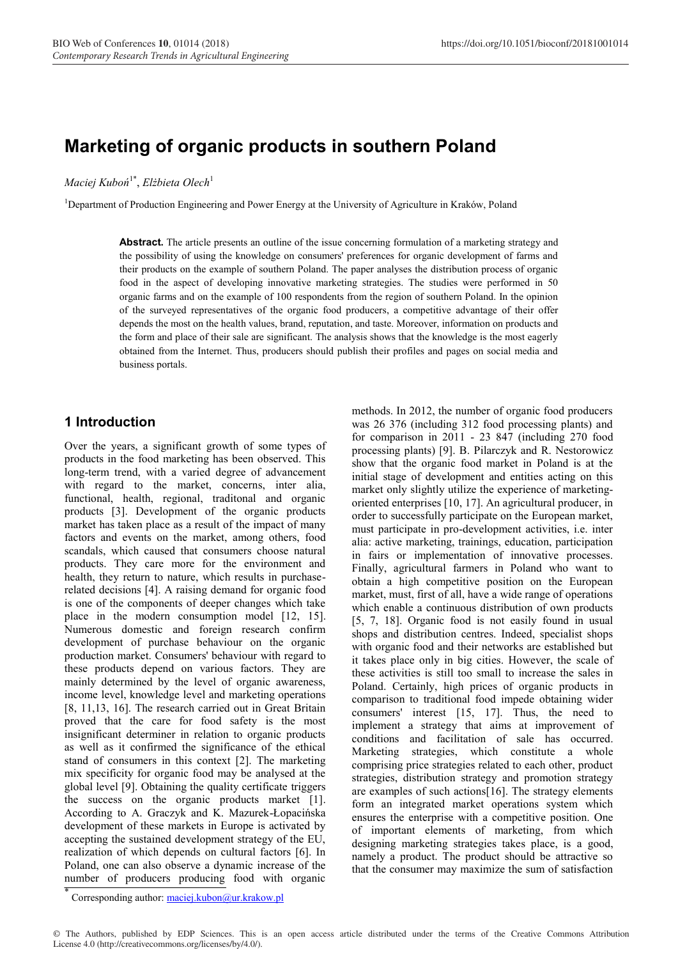# **Marketing of organic products in southern Poland**

*Maciej Kuboń*1\*, *Elżbieta Olech*<sup>1</sup>

<sup>1</sup>Department of Production Engineering and Power Energy at the University of Agriculture in Kraków, Poland

**Abstract.** The article presents an outline of the issue concerning formulation of a marketing strategy and the possibility of using the knowledge on consumers' preferences for organic development of farms and their products on the example of southern Poland. The paper analyses the distribution process of organic food in the aspect of developing innovative marketing strategies. The studies were performed in 50 organic farms and on the example of 100 respondents from the region of southern Poland. In the opinion of the surveyed representatives of the organic food producers, a competitive advantage of their offer depends the most on the health values, brand, reputation, and taste. Moreover, information on products and the form and place of their sale are significant. The analysis shows that the knowledge is the most eagerly obtained from the Internet. Thus, producers should publish their profiles and pages on social media and business portals.

#### **1 Introduction**

Over the years, a significant growth of some types of products in the food marketing has been observed. This long-term trend, with a varied degree of advancement with regard to the market, concerns, inter alia, functional, health, regional, traditonal and organic products [3]. Development of the organic products market has taken place as a result of the impact of many factors and events on the market, among others, food scandals, which caused that consumers choose natural products. They care more for the environment and health, they return to nature, which results in purchaserelated decisions [4]. A raising demand for organic food is one of the components of deeper changes which take place in the modern consumption model [12, 15]. Numerous domestic and foreign research confirm development of purchase behaviour on the organic production market. Consumers' behaviour with regard to these products depend on various factors. They are mainly determined by the level of organic awareness, income level, knowledge level and marketing operations [8, 11,13, 16]. The research carried out in Great Britain proved that the care for food safety is the most insignificant determiner in relation to organic products as well as it confirmed the significance of the ethical stand of consumers in this context [2]. The marketing mix specificity for organic food may be analysed at the global level [9]. Obtaining the quality certificate triggers the success on the organic products market [1]. According to A. Graczyk and K. Mazurek-Łopacińska development of these markets in Europe is activated by accepting the sustained development strategy of the EU, realization of which depends on cultural factors [6]. In Poland, one can also observe a dynamic increase of the number of producers producing food with organic

methods. In 2012, the number of organic food producers was 26 376 (including 312 food processing plants) and for comparison in 2011 - 23 847 (including 270 food processing plants) [9]. B. Pilarczyk and R. Nestorowicz show that the organic food market in Poland is at the initial stage of development and entities acting on this market only slightly utilize the experience of marketingoriented enterprises [10, 17]. An agricultural producer, in order to successfully participate on the European market, must participate in pro-development activities, i.e. inter alia: active marketing, trainings, education, participation in fairs or implementation of innovative processes. Finally, agricultural farmers in Poland who want to obtain a high competitive position on the European market, must, first of all, have a wide range of operations which enable a continuous distribution of own products [5, 7, 18]. Organic food is not easily found in usual shops and distribution centres. Indeed, specialist shops with organic food and their networks are established but it takes place only in big cities. However, the scale of these activities is still too small to increase the sales in Poland. Certainly, high prices of organic products in comparison to traditional food impede obtaining wider consumers' interest [15, 17]. Thus, the need to implement a strategy that aims at improvement of conditions and facilitation of sale has occurred. Marketing strategies, which constitute a whole comprising price strategies related to each other, product strategies, distribution strategy and promotion strategy are examples of such actions[16]. The strategy elements form an integrated market operations system which ensures the enterprise with a competitive position. One of important elements of marketing, from which designing marketing strategies takes place, is a good, namely a product. The product should be attractive so that the consumer may maximize the sum of satisfaction

Corresponding author: maciej.kubon@ur.krakow.pl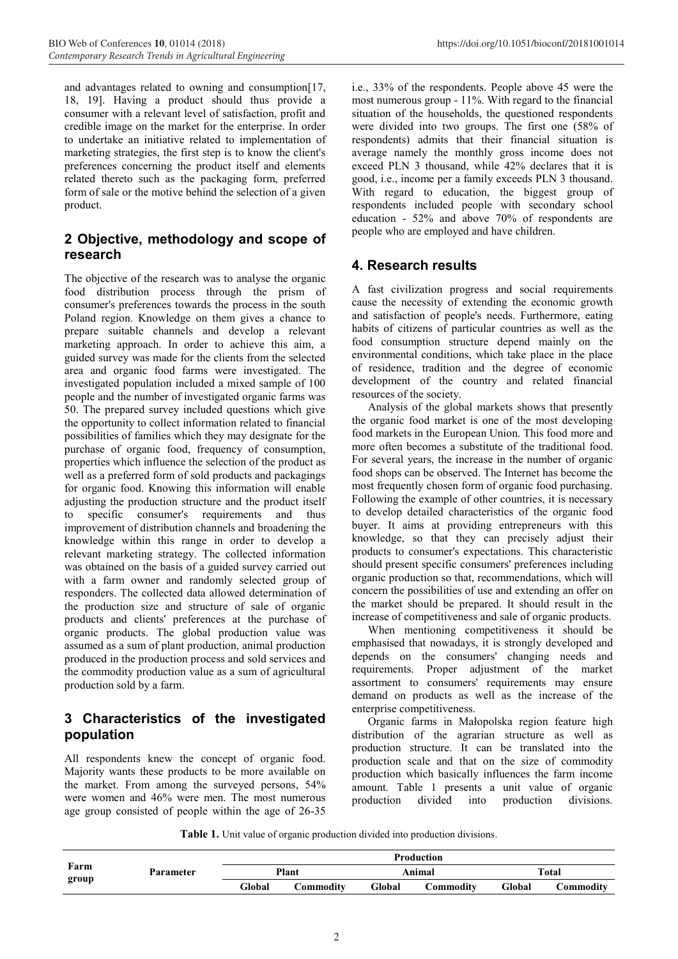and advantages related to owning and consumption[17, 18, 19]. Having a product should thus provide a consumer with a relevant level of satisfaction, profit and credible image on the market for the enterprise. In order to undertake an initiative related to implementation of marketing strategies, the first step is to know the client's preferences concerning the product itself and elements related thereto such as the packaging form, preferred form of sale or the motive behind the selection of a given product.

## **2 Objective, methodology and scope of research**

The objective of the research was to analyse the organic food distribution process through the prism of consumer's preferences towards the process in the south Poland region. Knowledge on them gives a chance to prepare suitable channels and develop a relevant marketing approach. In order to achieve this aim, a guided survey was made for the clients from the selected area and organic food farms were investigated. The investigated population included a mixed sample of 100 people and the number of investigated organic farms was 50. The prepared survey included questions which give the opportunity to collect information related to financial possibilities of families which they may designate for the purchase of organic food, frequency of consumption, properties which influence the selection of the product as well as a preferred form of sold products and packagings for organic food. Knowing this information will enable adjusting the production structure and the product itself to specific consumer's requirements and thus improvement of distribution channels and broadening the knowledge within this range in order to develop a relevant marketing strategy. The collected information was obtained on the basis of a guided survey carried out with a farm owner and randomly selected group of responders. The collected data allowed determination of the production size and structure of sale of organic products and clients' preferences at the purchase of organic products. The global production value was assumed as a sum of plant production, animal production produced in the production process and sold services and the commodity production value as a sum of agricultural production sold by a farm.

### **3 Characteristics of the investigated population**

All respondents knew the concept of organic food. Majority wants these products to be more available on the market. From among the surveyed persons, 54% were women and 46% were men. The most numerous age group consisted of people within the age of 26-35

i.e., 33% of the respondents. People above 45 were the most numerous group - 11%. With regard to the financial situation of the households, the questioned respondents were divided into two groups. The first one (58% of respondents) admits that their financial situation is average namely the monthly gross income does not exceed PLN 3 thousand, while 42% declares that it is good, i.e., income per a family exceeds PLN 3 thousand. With regard to education, the biggest group of respondents included people with secondary school education - 52% and above 70% of respondents are people who are employed and have children.

# **4. Research results**

A fast civilization progress and social requirements cause the necessity of extending the economic growth and satisfaction of people's needs. Furthermore, eating habits of citizens of particular countries as well as the food consumption structure depend mainly on the environmental conditions, which take place in the place of residence, tradition and the degree of economic development of the country and related financial resources of the society.

Analysis of the global markets shows that presently the organic food market is one of the most developing food markets in the European Union. This food more and more often becomes a substitute of the traditional food. For several years, the increase in the number of organic food shops can be observed. The Internet has become the most frequently chosen form of organic food purchasing. Following the example of other countries, it is necessary to develop detailed characteristics of the organic food buyer. It aims at providing entrepreneurs with this knowledge, so that they can precisely adjust their products to consumer's expectations. This characteristic should present specific consumers' preferences including organic production so that, recommendations, which will concern the possibilities of use and extending an offer on the market should be prepared. It should result in the increase of competitiveness and sale of organic products.

When mentioning competitiveness it should be emphasised that nowadays, it is strongly developed and depends on the consumers' changing needs and requirements. Proper adjustment of the market assortment to consumers' requirements may ensure demand on products as well as the increase of the enterprise competitiveness.

Organic farms in Małopolska region feature high distribution of the agrarian structure as well as production structure. It can be translated into the production scale and that on the size of commodity production which basically influences the farm income amount. Table 1 presents a unit value of organic production divided into production divisions.

**Table 1.** Unit value of organic production divided into production divisions.

| Farm  | Parameter | <b>Production</b> |                  |        |           |        |           |  |
|-------|-----------|-------------------|------------------|--------|-----------|--------|-----------|--|
|       |           | Plant             |                  | Animal |           | Total  |           |  |
| group |           | Global            | <b>Commodity</b> | Global | Commoditv | Global | Commodity |  |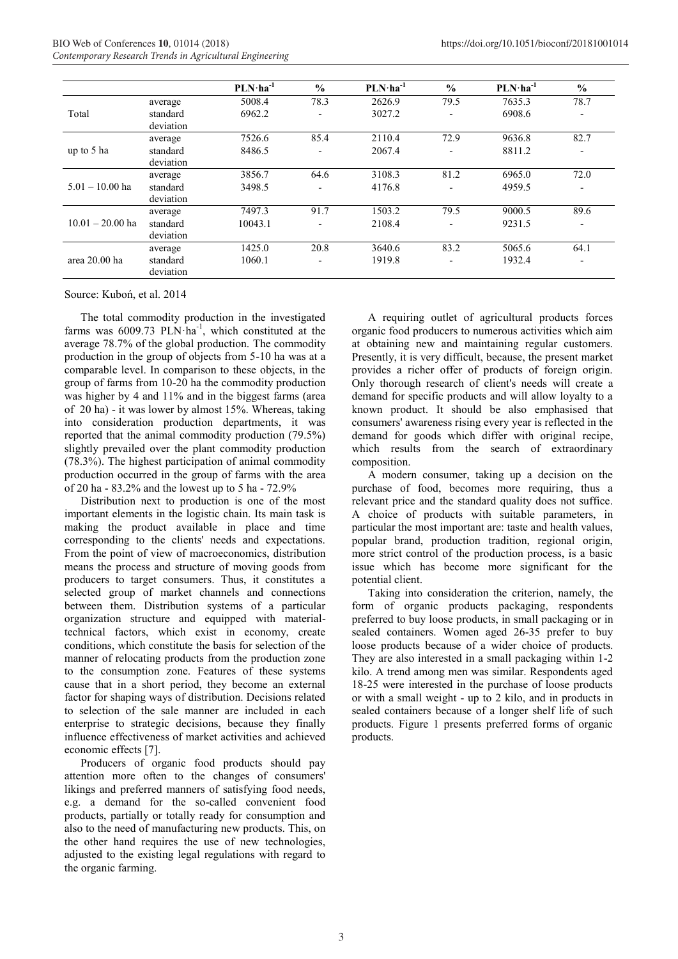|                    |                       | $PLN·ha-1$ | $\frac{0}{0}$            | $PLN·ha-1$ | $\frac{0}{0}$            | $PLN·ha-1$ | $\frac{0}{0}$ |
|--------------------|-----------------------|------------|--------------------------|------------|--------------------------|------------|---------------|
| Total              | average               | 5008.4     | 78.3                     | 2626.9     | 79.5                     | 7635.3     | 78.7          |
|                    | standard              | 6962.2     |                          | 3027.2     | $\overline{\phantom{a}}$ | 6908.6     | ٠             |
|                    | deviation             |            |                          |            |                          |            |               |
| up to 5 ha         | average               | 7526.6     | 85.4                     | 2110.4     | 72.9                     | 9636.8     | 82.7          |
|                    | standard              | 8486.5     |                          | 2067.4     | $\overline{\phantom{0}}$ | 8811.2     |               |
|                    | deviation             |            |                          |            |                          |            |               |
| $5.01 - 10.00$ ha  | average               | 3856.7     | 64.6                     | 3108.3     | 81.2                     | 6965.0     | 72.0          |
|                    | standard              | 3498.5     |                          | 4176.8     | $\overline{\phantom{a}}$ | 4959.5     | -             |
|                    | deviation             |            |                          |            |                          |            |               |
| $10.01 - 20.00$ ha | average               | 7497.3     | 91.7                     | 1503.2     | 79.5                     | 9000.5     | 89.6          |
|                    | standard              | 10043.1    |                          | 2108.4     | $\overline{\phantom{a}}$ | 9231.5     | ٠             |
|                    | deviation             |            |                          |            |                          |            |               |
| area 20.00 ha      | average               | 1425.0     | 20.8                     | 3640.6     | 83.2                     | 5065.6     | 64.1          |
|                    | standard<br>deviation | 1060.1     | $\overline{\phantom{0}}$ | 1919.8     | $\blacksquare$           | 1932.4     | ٠             |

Source: Kuboń, et al. 2014

The total commodity production in the investigated farms was  $6009.73$  PLN·ha<sup>-1</sup>, which constituted at the average 78.7% of the global production. The commodity production in the group of objects from 5-10 ha was at a comparable level. In comparison to these objects, in the group of farms from 10-20 ha the commodity production was higher by 4 and 11% and in the biggest farms (area of 20 ha) - it was lower by almost 15%. Whereas, taking into consideration production departments, it was reported that the animal commodity production (79.5%) slightly prevailed over the plant commodity production (78.3%). The highest participation of animal commodity production occurred in the group of farms with the area of 20 ha - 83.2% and the lowest up to 5 ha - 72.9%

Distribution next to production is one of the most important elements in the logistic chain. Its main task is making the product available in place and time corresponding to the clients' needs and expectations. From the point of view of macroeconomics, distribution means the process and structure of moving goods from producers to target consumers. Thus, it constitutes a selected group of market channels and connections between them. Distribution systems of a particular organization structure and equipped with materialtechnical factors, which exist in economy, create conditions, which constitute the basis for selection of the manner of relocating products from the production zone to the consumption zone. Features of these systems cause that in a short period, they become an external factor for shaping ways of distribution. Decisions related to selection of the sale manner are included in each enterprise to strategic decisions, because they finally influence effectiveness of market activities and achieved economic effects [7].

Producers of organic food products should pay attention more often to the changes of consumers' likings and preferred manners of satisfying food needs, e.g. a demand for the so-called convenient food products, partially or totally ready for consumption and also to the need of manufacturing new products. This, on the other hand requires the use of new technologies, adjusted to the existing legal regulations with regard to the organic farming.

A requiring outlet of agricultural products forces organic food producers to numerous activities which aim at obtaining new and maintaining regular customers. Presently, it is very difficult, because, the present market provides a richer offer of products of foreign origin. Only thorough research of client's needs will create a demand for specific products and will allow loyalty to a known product. It should be also emphasised that consumers' awareness rising every year is reflected in the demand for goods which differ with original recipe, which results from the search of extraordinary composition.

A modern consumer, taking up a decision on the purchase of food, becomes more requiring, thus a relevant price and the standard quality does not suffice. A choice of products with suitable parameters, in particular the most important are: taste and health values, popular brand, production tradition, regional origin, more strict control of the production process, is a basic issue which has become more significant for the potential client.

Taking into consideration the criterion, namely, the form of organic products packaging, respondents preferred to buy loose products, in small packaging or in sealed containers. Women aged 26-35 prefer to buy loose products because of a wider choice of products. They are also interested in a small packaging within 1-2 kilo. A trend among men was similar. Respondents aged 18-25 were interested in the purchase of loose products or with a small weight - up to 2 kilo, and in products in sealed containers because of a longer shelf life of such products. Figure 1 presents preferred forms of organic products.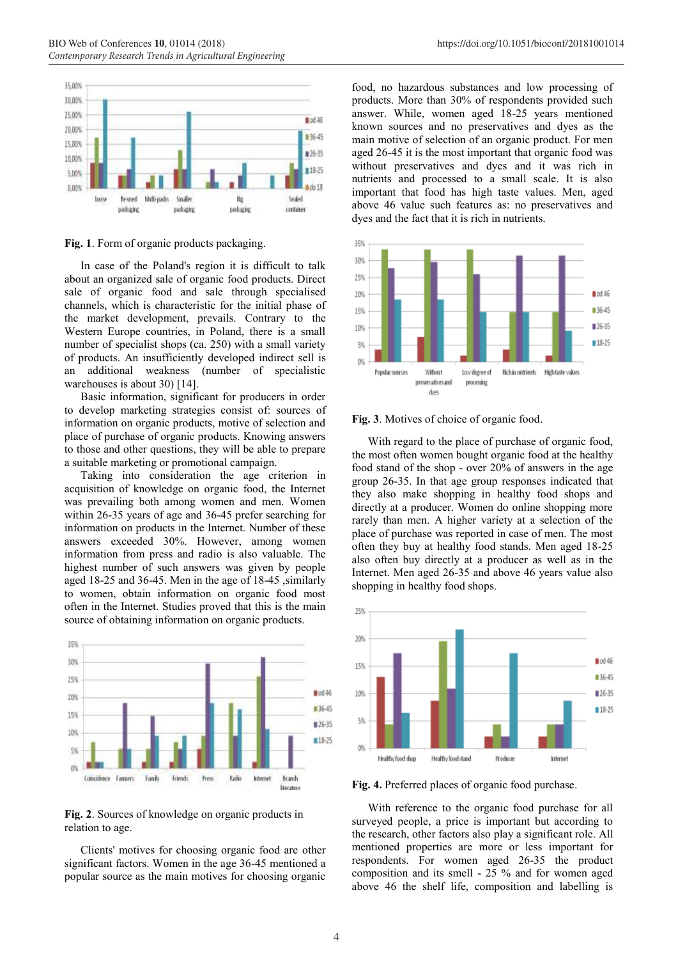

**Fig. 1**. Form of organic products packaging.

In case of the Poland's region it is difficult to talk about an organized sale of organic food products. Direct sale of organic food and sale through specialised channels, which is characteristic for the initial phase of the market development, prevails. Contrary to the Western Europe countries, in Poland, there is a small number of specialist shops (ca. 250) with a small variety of products. An insufficiently developed indirect sell is an additional weakness (number of specialistic warehouses is about 30) [14].

Basic information, significant for producers in order to develop marketing strategies consist of: sources of information on organic products, motive of selection and place of purchase of organic products. Knowing answers to those and other questions, they will be able to prepare a suitable marketing or promotional campaign.

Taking into consideration the age criterion in acquisition of knowledge on organic food, the Internet was prevailing both among women and men. Women within 26-35 years of age and 36-45 prefer searching for information on products in the Internet. Number of these answers exceeded 30%. However, among women information from press and radio is also valuable. The highest number of such answers was given by people aged 18-25 and 36-45. Men in the age of 18-45 ,similarly to women, obtain information on organic food most often in the Internet. Studies proved that this is the main source of obtaining information on organic products.



**Fig. 2**. Sources of knowledge on organic products in relation to age.

Clients' motives for choosing organic food are other significant factors. Women in the age 36-45 mentioned a popular source as the main motives for choosing organic

food, no hazardous substances and low processing of products. More than 30% of respondents provided such answer. While, women aged 18-25 years mentioned known sources and no preservatives and dyes as the main motive of selection of an organic product. For men aged 26-45 it is the most important that organic food was without preservatives and dyes and it was rich in nutrients and processed to a small scale. It is also important that food has high taste values. Men, aged above 46 value such features as: no preservatives and dyes and the fact that it is rich in nutrients.



#### **Fig. 3**. Motives of choice of organic food.

With regard to the place of purchase of organic food, the most often women bought organic food at the healthy food stand of the shop - over 20% of answers in the age group 26-35. In that age group responses indicated that they also make shopping in healthy food shops and directly at a producer. Women do online shopping more rarely than men. A higher variety at a selection of the place of purchase was reported in case of men. The most often they buy at healthy food stands. Men aged 18-25 also often buy directly at a producer as well as in the Internet. Men aged 26-35 and above 46 years value also shopping in healthy food shops.



**Fig. 4.** Preferred places of organic food purchase.

With reference to the organic food purchase for all surveyed people, a price is important but according to the research, other factors also play a significant role. All mentioned properties are more or less important for respondents. For women aged 26-35 the product composition and its smell - 25 % and for women aged above 46 the shelf life, composition and labelling is